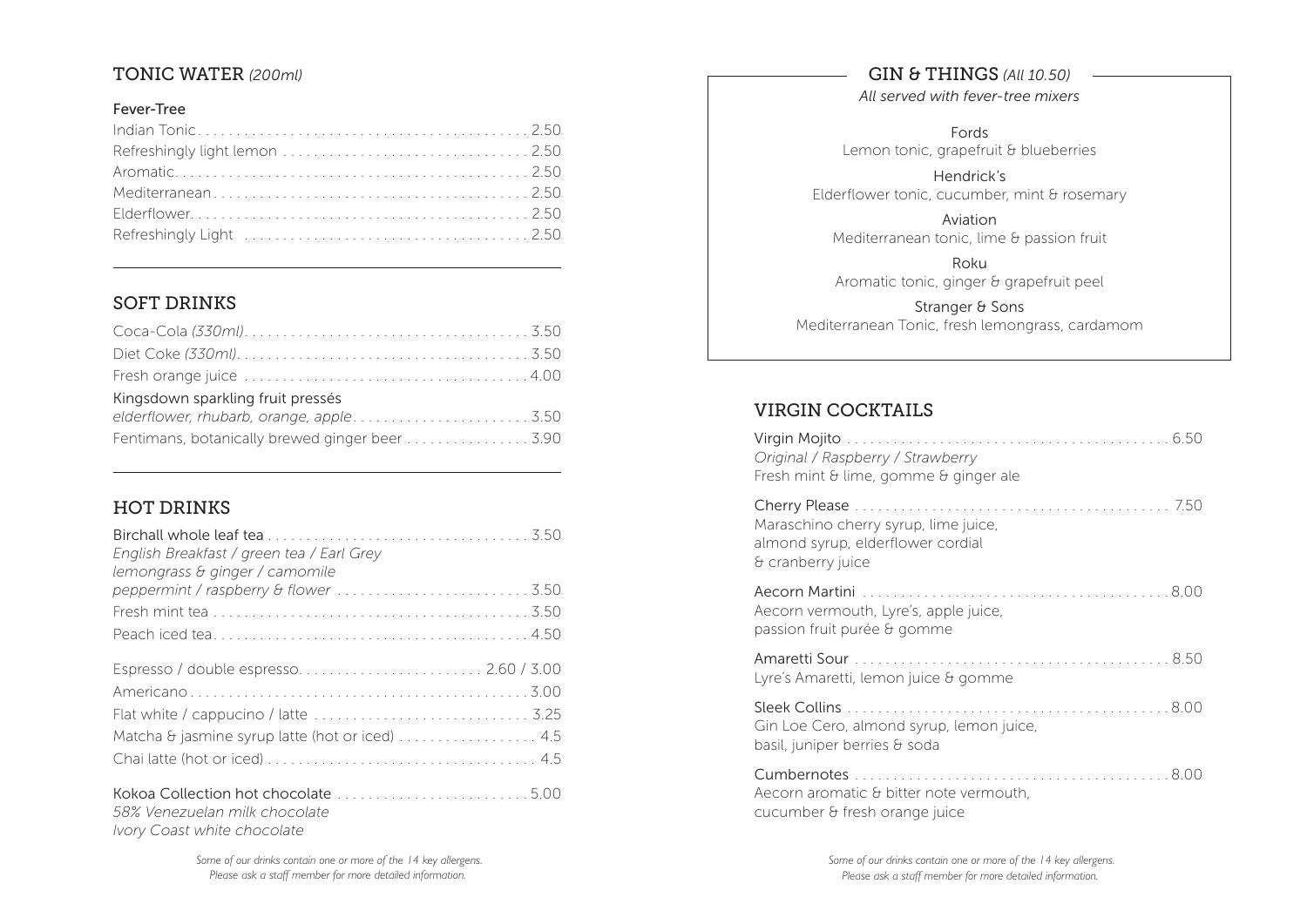## TONIC WATER *(200ml)*

#### Fever-Tree

| Refreshingly Light (and the contract of the contract of the contract of the contract of the contract of the contract of the contract of the contract of the contract of the contract of the contract of the contract of the co |  |
|--------------------------------------------------------------------------------------------------------------------------------------------------------------------------------------------------------------------------------|--|

## SOFT DRINKS

| Kingsdown sparkling fruit pressés              |  |
|------------------------------------------------|--|
|                                                |  |
| Fentimans, botanically brewed ginger beer 3.90 |  |

## HOT DRINKS

| English Breakfast / green tea / Earl Grey<br>lemongrass & ginger / camomile                         |
|-----------------------------------------------------------------------------------------------------|
|                                                                                                     |
|                                                                                                     |
|                                                                                                     |
| Espresso / double espresso 2.60 / 3.00                                                              |
|                                                                                                     |
|                                                                                                     |
| Matcha & jasmine syrup latte (hot or iced)  4.5                                                     |
|                                                                                                     |
| Kokoa Collection hot chocolate 5.00<br>58% Venezuelan milk chocolate<br>Ivory Coast white chocolate |

### GIN & THINGS *(All 10.50)*

*All served with fever-tree mixers*

FordsLemon tonic, grapefruit & blueberries

Hendrick'sElderflower tonic, cucumber, mint & rosemary

AviationMediterranean tonic, lime & passion fruit

Roku Aromatic tonic, ginger & grapefruit peel

Stranger & Sons Mediterranean Tonic, fresh lemongrass, cardamom

# VIRGIN COCKTAILS

| Original / Raspberry / Strawberry<br>Fresh mint & lime, gomme & ginger ale                     |
|------------------------------------------------------------------------------------------------|
| Maraschino cherry syrup, lime juice,<br>almond syrup, elderflower cordial<br>& cranberry juice |
| Aecorn vermouth, Lyre's, apple juice,<br>passion fruit purée & gomme                           |
| Lyre's Amaretti, lemon juice & gomme                                                           |
| Gin Loe Cero, almond syrup, lemon juice,<br>basil, juniper berries & soda                      |
| Aecorn aromatic & bitter note vermouth,<br>cucumber & fresh orange juice                       |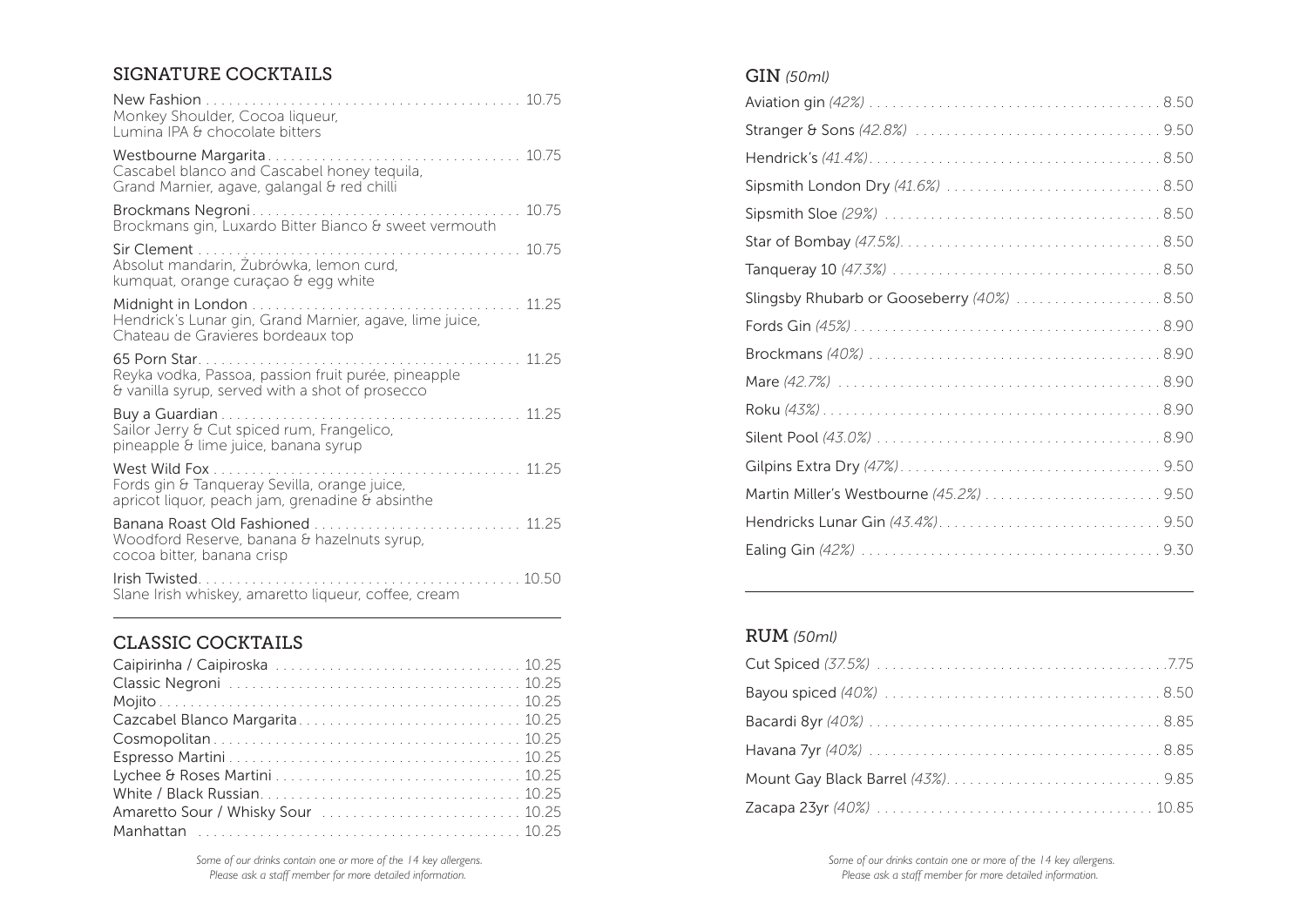### SIGNATURE COCKTAILS

| 10.75<br>New Fashion<br>Monkey Shoulder, Cocoa liqueur,<br>Lumina IPA & chocolate bitters                                                          |
|----------------------------------------------------------------------------------------------------------------------------------------------------|
| 10.75<br>Westbourne Margarita<br>a característica de<br>Cascabel blanco and Cascabel honey tequila,<br>Grand Marnier, agave, galangal & red chilli |
| 10.75<br>Brockmans Negroni<br>Brockmans gin, Luxardo Bitter Bianco & sweet vermouth                                                                |
| Sir Clement<br>10.75<br>Absolut mandarin, Żubrówka, lemon curd,<br>kumquat, orange curaçao & egg white                                             |
| 11 25<br>Hendrick's Lunar gin, Grand Marnier, agave, lime juice,<br>Chateau de Gravieres bordeaux top                                              |
| 65 Porn Star.<br>11 25<br>Reyka vodka, Passoa, passion fruit purée, pineapple<br>& vanilla syrup, served with a shot of prosecco                   |
| .<br>Buy a Guardian<br>11 25<br>Sailor Jerry & Cut spiced rum, Frangelico,<br>pineapple & lime juice, banana syrup                                 |
| West Wild Fox<br>11 25<br>Fords gin & Tanqueray Sevilla, orange juice,<br>apricot liquor, peach jam, grenadine & absinthe                          |
| Banana Roast Old Fashioned<br>11 25<br>Woodford Reserve, banana & hazelnuts syrup,<br>cocoa bitter, banana crisp                                   |
| Irish Twisted.<br>10.50<br>Slane Irish whiskey, amaretto liqueur, coffee, cream                                                                    |

### CLASSIC COCKTAILS

| Cazcabel Blanco Margarita 10.25    |  |
|------------------------------------|--|
|                                    |  |
|                                    |  |
|                                    |  |
|                                    |  |
| Amaretto Sour / Whisky Sour  10.25 |  |
|                                    |  |

#### GIN *(50ml)*

| Slingsby Rhubarb or Gooseberry (40%)  8.50 |
|--------------------------------------------|
|                                            |
|                                            |
|                                            |
|                                            |
|                                            |
|                                            |
|                                            |
|                                            |
|                                            |
|                                            |

## RUM *(50ml)*

 *Some of our drinks contain one or more of the 14 key allergens. Please ask a staff member for more detailed information.*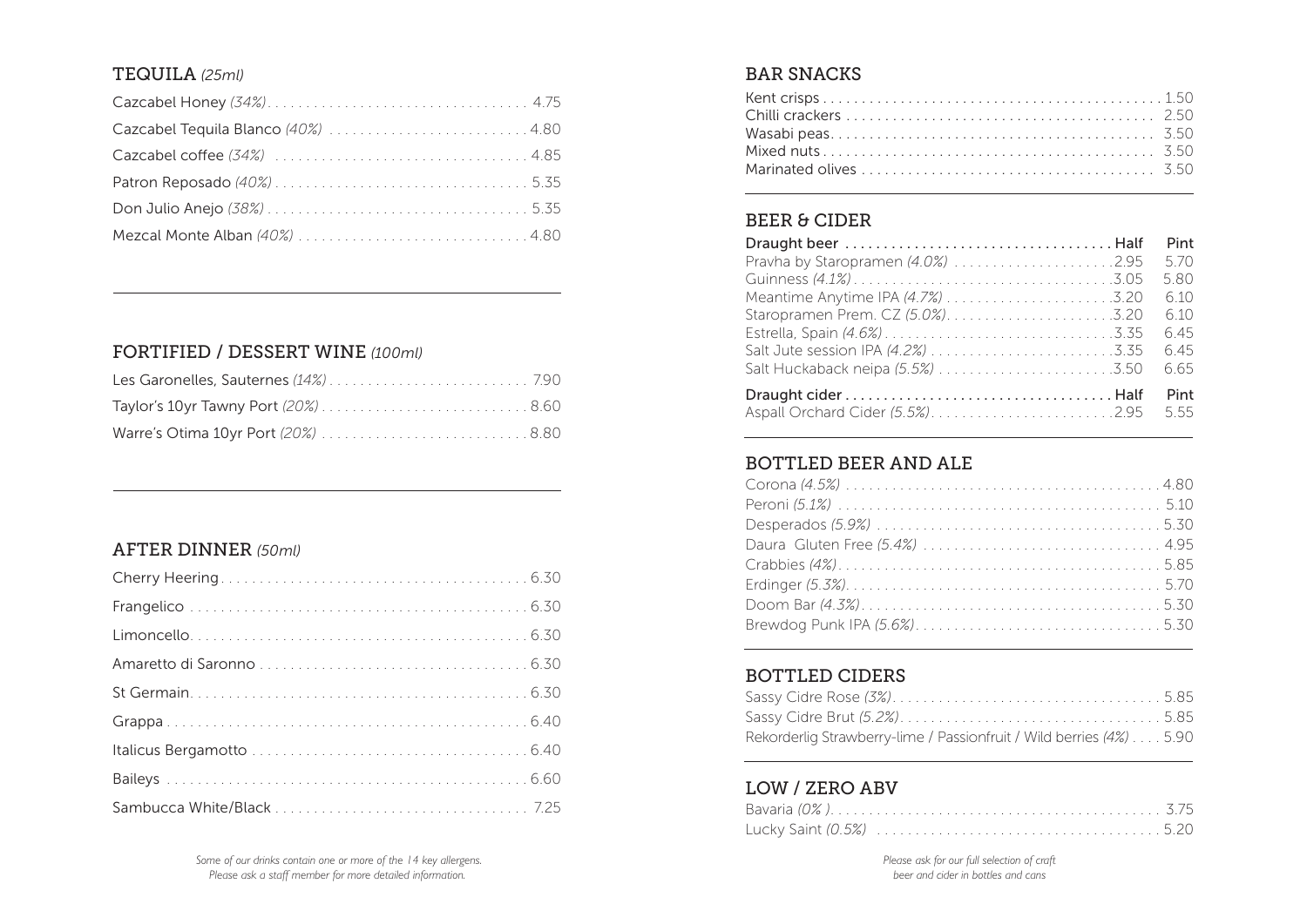### TEQUILA *(25ml)*

| Cazcabel Tequila Blanco (40%)  4.80 |  |
|-------------------------------------|--|
|                                     |  |
|                                     |  |
|                                     |  |
|                                     |  |

## FORTIFIED / DESSERT WINE *(100ml)*

## AFTER DINNER *(50ml)*

#### BAR SNACKS

## BEER & CIDER

|                                      | Pint |
|--------------------------------------|------|
| Pravha by Staropramen $(4.0\%)$ 2.95 | 5.70 |
|                                      | 5.80 |
|                                      | 6.10 |
|                                      | 6.10 |
|                                      | 6.45 |
|                                      | 6.45 |
|                                      | 6.65 |
|                                      | Pint |
| Aspall Orchard Cider (5.5%)2.95      | 5.55 |

### BOTTLED BEER AND ALE

### BOTTLED CIDERS

| Rekorderlig Strawberry-lime / Passionfruit / Wild berries (4%) 5.90 |  |
|---------------------------------------------------------------------|--|

### LOW / ZERO ABV